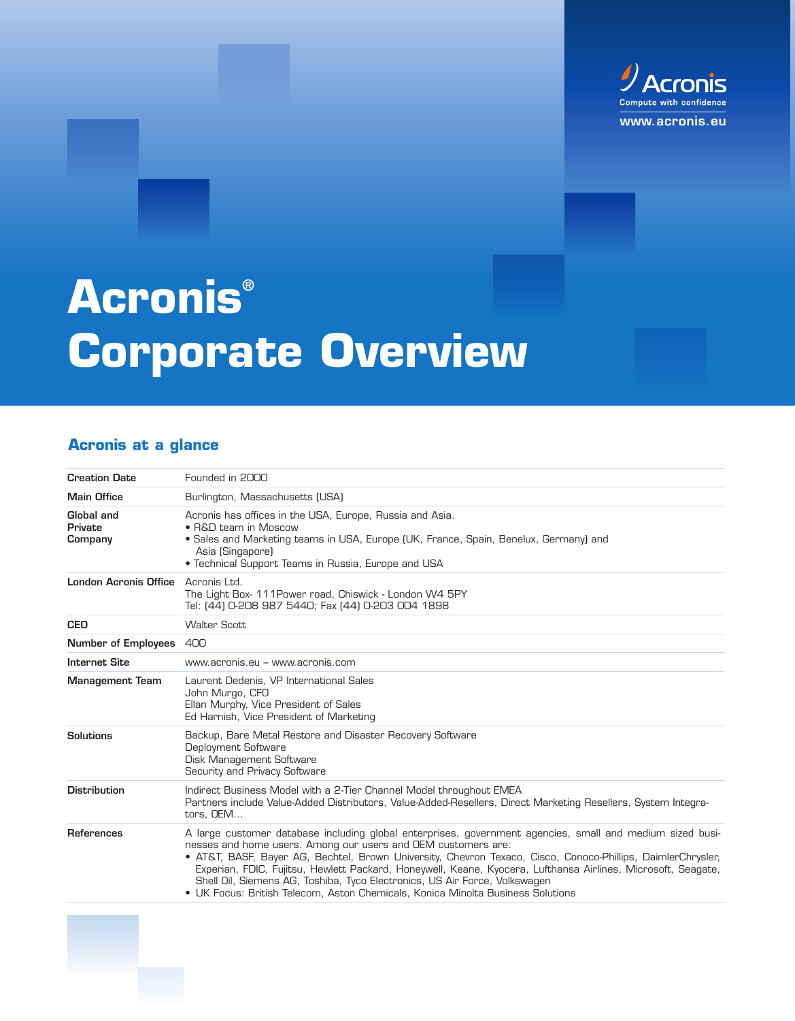

# **Acronis® Corporate Overview**

# **Acronis at a glance**

| <b>Creation Date</b>             | Founded in 2000                                                                                                                                                                                                                                                                                                                                                                                                                                                                                                                                                            |
|----------------------------------|----------------------------------------------------------------------------------------------------------------------------------------------------------------------------------------------------------------------------------------------------------------------------------------------------------------------------------------------------------------------------------------------------------------------------------------------------------------------------------------------------------------------------------------------------------------------------|
| <b>Main Office</b>               | Burlington, Massachusetts (USA)                                                                                                                                                                                                                                                                                                                                                                                                                                                                                                                                            |
| Global and<br>Private<br>Company | Acronis has offices in the USA, Europe, Russia and Asia.<br>• R&D team in Moscow<br>• Sales and Marketing teams in USA, Europe (UK, France, Spain, Benelux, Germany) and<br>Asia (Singapore)<br>• Technical Support Teams in Russia, Europe and USA                                                                                                                                                                                                                                                                                                                        |
| <b>London Acronis Office</b>     | Acronis Ltd.<br>The Light Box- 111 Power road, Chiswick - London W4 5PY<br>Tel: (44) 0-208 987 5440; Fax (44) 0-203 004 1898                                                                                                                                                                                                                                                                                                                                                                                                                                               |
| <b>CEO</b>                       | <b>Walter Scott</b>                                                                                                                                                                                                                                                                                                                                                                                                                                                                                                                                                        |
| <b>Number of Employees</b>       | 400                                                                                                                                                                                                                                                                                                                                                                                                                                                                                                                                                                        |
| <b>Internet Site</b>             | www.acronis.eu – www.acronis.com                                                                                                                                                                                                                                                                                                                                                                                                                                                                                                                                           |
| <b>Management Team</b>           | Laurent Dedenis, VP International Sales<br>John Murgo, CFO<br>Ellan Murphy, Vice President of Sales<br>Ed Harnish, Vice President of Marketing                                                                                                                                                                                                                                                                                                                                                                                                                             |
| <b>Solutions</b>                 | Backup, Bare Metal Restore and Disaster Recovery Software<br>Deployment Software<br>Disk Management Software<br>Security and Privacy Software                                                                                                                                                                                                                                                                                                                                                                                                                              |
| <b>Distribution</b>              | Indirect Business Model with a 2-Tier Channel Model throughout EMEA<br>Partners include Value-Added Distributors, Value-Added-Resellers, Direct Marketing Resellers, System Integra-<br>tors. OEM                                                                                                                                                                                                                                                                                                                                                                          |
| <b>References</b>                | A large customer database including global enterprises, government agencies, small and medium sized busi-<br>nesses and home users. Among our users and OEM customers are:<br>• AT&T, BASF, Bayer AG, Bechtel, Brown University, Chevron Texaco, Cisco, Conoco-Phillips, DaimlerChrysler,<br>Experian, FDIC, Fujitsu, Hewlett Packard, Honeywell, Keane, Kyocera, Lufthansa Airlines, Microsoft, Seagate,<br>Shell Oil, Siemens AG, Toshiba, Tyco Electronics, US Air Force, Volkswagen<br>• UK Focus: British Telecom, Aston Chemicals, Konica Minolta Business Solutions |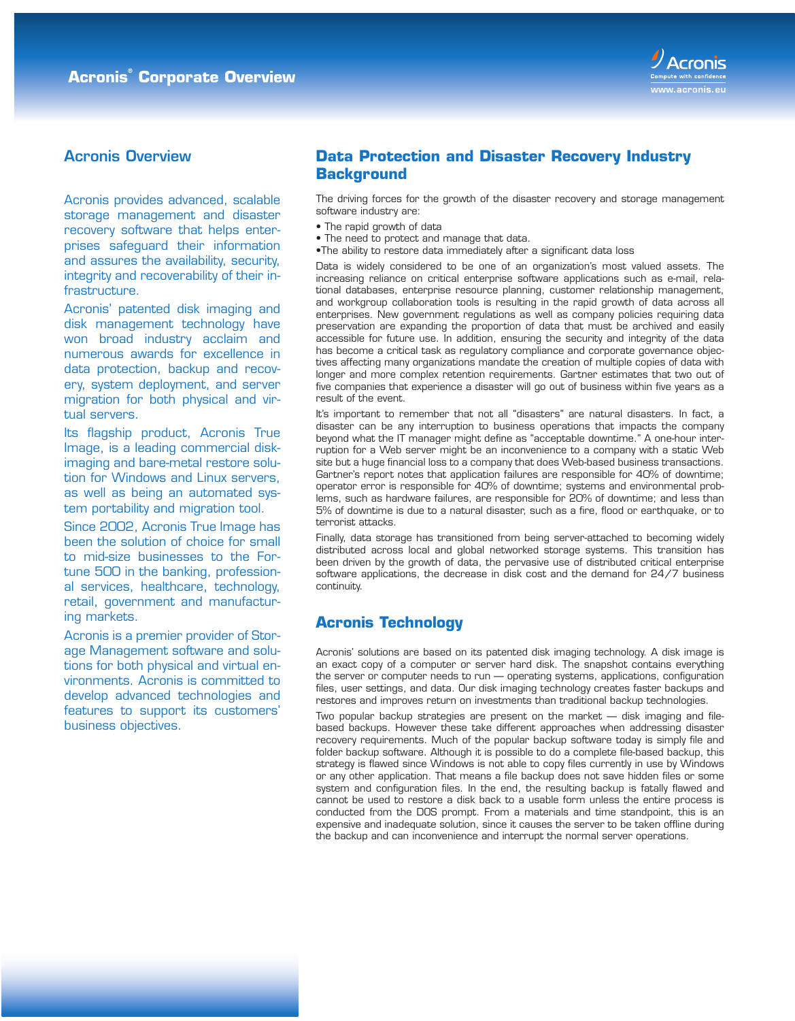

# Acronis Overview

Acronis provides advanced, scalable storage management and disaster recovery software that helps enterprises safeguard their information and assures the availability, security, integrity and recoverability of their infrastructure.

Acronis' patented disk imaging and disk management technology have won broad industry acclaim and numerous awards for excellence in data protection, backup and recovery, system deployment, and server migration for both physical and virtual servers.

Its flagship product, Acronis True Image, is a leading commercial diskimaging and bare-metal restore solution for Windows and Linux servers, as well as being an automated system portability and migration tool.

Since 2002, Acronis True Image has been the solution of choice for small to mid-size businesses to the Fortune 500 in the banking, professional services, healthcare, technology, retail, government and manufacturing markets.

Acronis is a premier provider of Storage Management software and solutions for both physical and virtual environments. Acronis is committed to develop advanced technologies and features to support its customers' business objectives.

# **Data Protection and Disaster Recovery Industry Background**

The driving forces for the growth of the disaster recovery and storage management software industry are:

- The rapid growth of data
- The need to protect and manage that data.
- •The ability to restore data immediately after a significant data loss

Data is widely considered to be one of an organization's most valued assets. The increasing reliance on critical enterprise software applications such as e-mail, relational databases, enterprise resource planning, customer relationship management, and workgroup collaboration tools is resulting in the rapid growth of data across all enterprises. New government regulations as well as company policies requiring data preservation are expanding the proportion of data that must be archived and easily accessible for future use. In addition, ensuring the security and integrity of the data has become a critical task as regulatory compliance and corporate governance objectives affecting many organizations mandate the creation of multiple copies of data with longer and more complex retention requirements. Gartner estimates that two out of five companies that experience a disaster will go out of business within five years as a result of the event.

It's important to remember that not all "disasters" are natural disasters. In fact, a disaster can be any interruption to business operations that impacts the company beyond what the IT manager might define as "acceptable downtime." A one-hour interruption for a Web server might be an inconvenience to a company with a static Web site but a huge financial loss to a company that does Web-based business transactions. Gartner's report notes that application failures are responsible for 40% of downtime; operator error is responsible for 40% of downtime; systems and environmental problems, such as hardware failures, are responsible for 20% of downtime; and less than 5% of downtime is due to a natural disaster, such as a fire, flood or earthquake, or to terrorist attacks.

Finally, data storage has transitioned from being server-attached to becoming widely distributed across local and global networked storage systems. This transition has been driven by the growth of data, the pervasive use of distributed critical enterprise software applications, the decrease in disk cost and the demand for 24/7 business continuity.

#### **Acronis Technology**

Acronis' solutions are based on its patented disk imaging technology. A disk image is an exact copy of a computer or server hard disk. The snapshot contains everything the server or computer needs to run — operating systems, applications, configuration files, user settings, and data. Our disk imaging technology creates faster backups and restores and improves return on investments than traditional backup technologies.

Two popular backup strategies are present on the market — disk imaging and filebased backups. However these take different approaches when addressing disaster recovery requirements. Much of the popular backup software today is simply file and folder backup software. Although it is possible to do a complete file-based backup, this strategy is flawed since Windows is not able to copy files currently in use by Windows or any other application. That means a file backup does not save hidden files or some system and configuration files. In the end, the resulting backup is fatally flawed and cannot be used to restore a disk back to a usable form unless the entire process is conducted from the DOS prompt. From a materials and time standpoint, this is an expensive and inadequate solution, since it causes the server to be taken offline during the backup and can inconvenience and interrupt the normal server operations.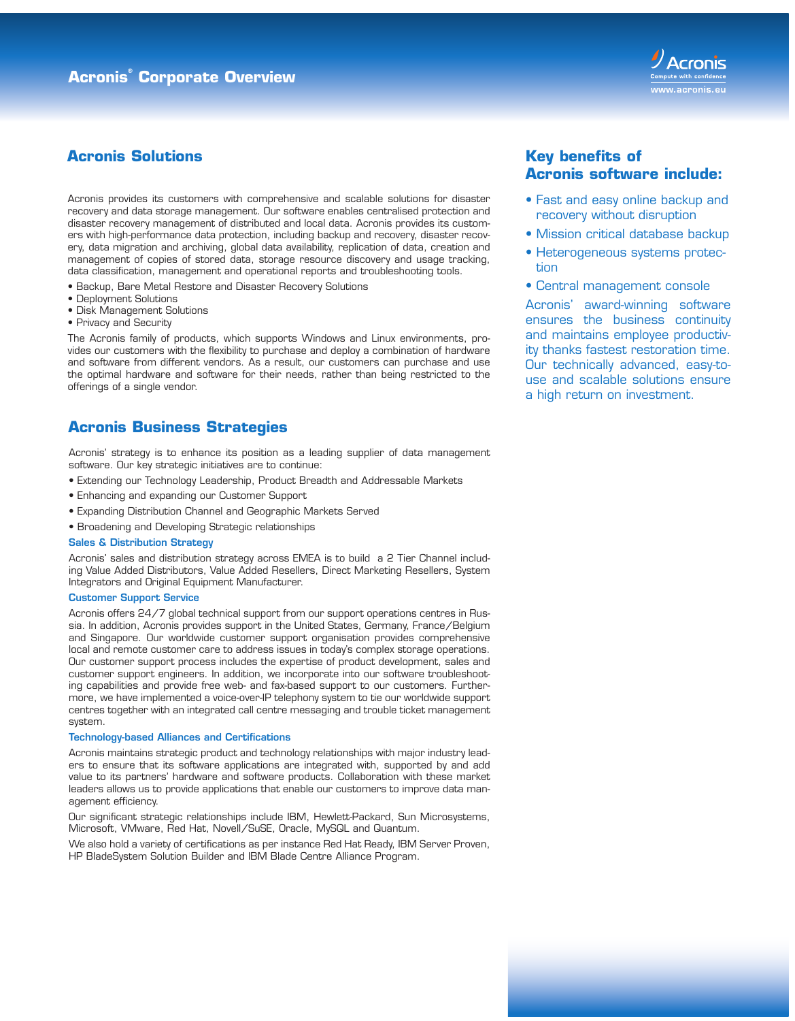

# **Acronis Solutions**

Acronis provides its customers with comprehensive and scalable solutions for disaster recovery and data storage management. Our software enables centralised protection and disaster recovery management of distributed and local data. Acronis provides its customers with high-performance data protection, including backup and recovery, disaster recovery, data migration and archiving, global data availability, replication of data, creation and management of copies of stored data, storage resource discovery and usage tracking, data classification, management and operational reports and troubleshooting tools.

- Backup, Bare Metal Restore and Disaster Recovery Solutions
- Deployment Solutions
- Disk Management Solutions
- Privacy and Security

The Acronis family of products, which supports Windows and Linux environments, provides our customers with the flexibility to purchase and deploy a combination of hardware and software from different vendors. As a result, our customers can purchase and use the optimal hardware and software for their needs, rather than being restricted to the offerings of a single vendor.

#### **Acronis Business Strategies**

Acronis' strategy is to enhance its position as a leading supplier of data management software. Our key strategic initiatives are to continue:

- Extending our Technology Leadership, Product Breadth and Addressable Markets
- Enhancing and expanding our Customer Support
- Expanding Distribution Channel and Geographic Markets Served
- Broadening and Developing Strategic relationships

#### Sales & Distribution Strategy

Acronis' sales and distribution strategy across EMEA is to build a 2 Tier Channel including Value Added Distributors, Value Added Resellers, Direct Marketing Resellers, System Integrators and Original Equipment Manufacturer.

#### Customer Support Service

Acronis offers 24/7 global technical support from our support operations centres in Russia. In addition, Acronis provides support in the United States, Germany, France/Belgium and Singapore. Our worldwide customer support organisation provides comprehensive local and remote customer care to address issues in today's complex storage operations. Our customer support process includes the expertise of product development, sales and customer support engineers. In addition, we incorporate into our software troubleshooting capabilities and provide free web- and fax-based support to our customers. Furthermore, we have implemented a voice-over-IP telephony system to tie our worldwide support centres together with an integrated call centre messaging and trouble ticket management system.

#### Technology-based Alliances and Certifications

Acronis maintains strategic product and technology relationships with major industry leaders to ensure that its software applications are integrated with, supported by and add value to its partners' hardware and software products. Collaboration with these market leaders allows us to provide applications that enable our customers to improve data management efficiency.

Our significant strategic relationships include IBM, Hewlett-Packard, Sun Microsystems, Microsoft, VMware, Red Hat, Novell/SuSE, Oracle, MySQL and Quantum.

We also hold a variety of certifications as per instance Red Hat Ready, IBM Server Proven, HP BladeSystem Solution Builder and IBM Blade Centre Alliance Program.

### **Key benefits of Acronis software include:**

- Fast and easy online backup and recovery without disruption
- Mission critical database backup
- Heterogeneous systems protection
- Central management console

Acronis' award-winning software ensures the business continuity and maintains employee productivity thanks fastest restoration time. Our technically advanced, easy-touse and scalable solutions ensure a high return on investment.